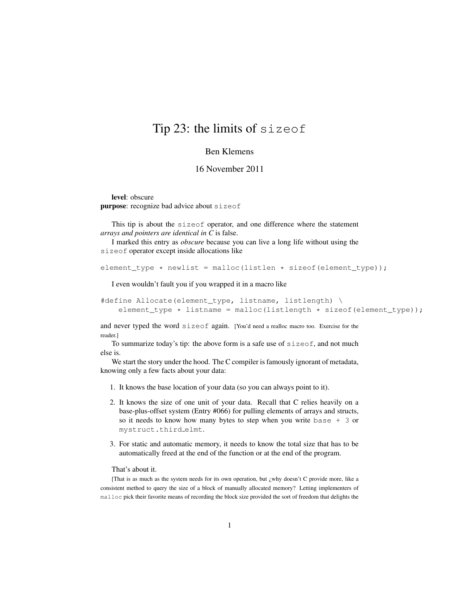## Tip 23: the limits of sizeof

## Ben Klemens

## 16 November 2011

level: obscure purpose: recognize bad advice about sizeof

This tip is about the sizeof operator, and one difference where the statement *arrays and pointers are identical in C* is false.

I marked this entry as *obscure* because you can live a long life without using the sizeof operator except inside allocations like

```
element_type * newlist = malloc(listlen * sizeof(element_type));
```
I even wouldn't fault you if you wrapped it in a macro like

```
#define Allocate(element_type, listname, listlength) \
   element_type * listname = malloc(listlength * sizeof(element_type));
```
and never typed the word sizeof again. [You'd need a realloc macro too. Exercise for the reader.]

To summarize today's tip: the above form is a safe use of sizeof, and not much else is.

We start the story under the hood. The C compiler is famously ignorant of metadata, knowing only a few facts about your data:

- 1. It knows the base location of your data (so you can always point to it).
- 2. It knows the size of one unit of your data. Recall that C relies heavily on a base-plus-offset system (Entry #066) for pulling elements of arrays and structs, so it needs to know how many bytes to step when you write base + 3 or mystruct.third elmt.
- 3. For static and automatic memory, it needs to know the total size that has to be automatically freed at the end of the function or at the end of the program.

## That's about it.

[That is as much as the system needs for its own operation, but ¿why doesn't C provide more, like a consistent method to query the size of a block of manually allocated memory? Letting implementers of malloc pick their favorite means of recording the block size provided the sort of freedom that delights the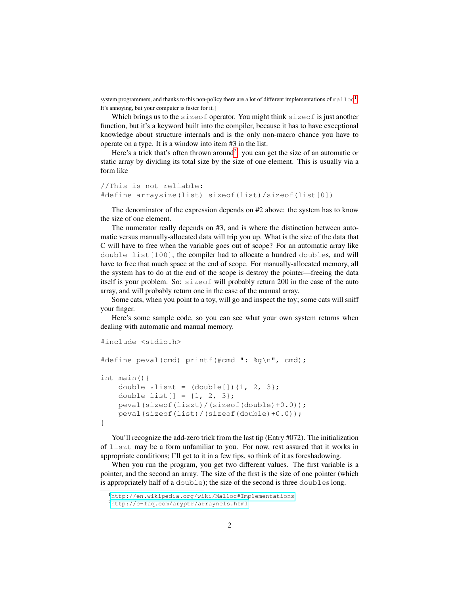system programmers, and thanks to this non-policy there are a lot of different implementations of malloc<sup>[1](#page-1-0)</sup>. It's annoying, but your computer is faster for it.]

Which brings us to the  $sizeof$  operator. You might think  $sizeof$  is just another function, but it's a keyword built into the compiler, because it has to have exceptional knowledge about structure internals and is the only non-macro chance you have to operate on a type. It is a window into item #3 in the list.

Here's a trick that's often thrown around<sup>[2](#page-1-1)</sup>: you can get the size of an automatic or static array by dividing its total size by the size of one element. This is usually via a form like

```
//This is not reliable:
#define arraysize(list) sizeof(list)/sizeof(list[0])
```
The denominator of the expression depends on #2 above: the system has to know the size of one element.

The numerator really depends on #3, and is where the distinction between automatic versus manually-allocated data will trip you up. What is the size of the data that C will have to free when the variable goes out of scope? For an automatic array like double list[100], the compiler had to allocate a hundred doubles, and will have to free that much space at the end of scope. For manually-allocated memory, all the system has to do at the end of the scope is destroy the pointer—freeing the data itself is your problem. So: sizeof will probably return 200 in the case of the auto array, and will probably return one in the case of the manual array.

Some cats, when you point to a toy, will go and inspect the toy; some cats will sniff your finger.

Here's some sample code, so you can see what your own system returns when dealing with automatic and manual memory.

```
#include <stdio.h>
#define peval(cmd) printf(#cmd ": %g\n", cmd);
int main(){
   double *list = (double[]){1, 2, 3};
   double list [ ] = {1, 2, 3};peval(sizeof(liszt)/(sizeof(double)+0.0));
   peval(sizeof(list)/(sizeof(double)+0.0));
}
```
You'll recognize the add-zero trick from the last tip (Entry #072). The initialization of liszt may be a form unfamiliar to you. For now, rest assured that it works in appropriate conditions; I'll get to it in a few tips, so think of it as foreshadowing.

When you run the program, you get two different values. The first variable is a pointer, and the second an array. The size of the first is the size of one pointer (which is appropriately half of a double); the size of the second is three doubles long.

<span id="page-1-1"></span><span id="page-1-0"></span><sup>1</sup><http://en.wikipedia.org/wiki/Malloc#Implementations>

<sup>2</sup><http://c-faq.com/aryptr/arraynels.html>